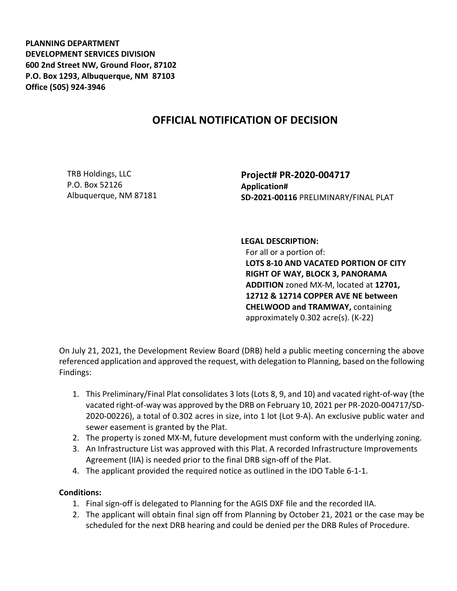**PLANNING DEPARTMENT DEVELOPMENT SERVICES DIVISION 600 2nd Street NW, Ground Floor, 87102 P.O. Box 1293, Albuquerque, NM 87103 Office (505) 924-3946** 

## **OFFICIAL NOTIFICATION OF DECISION**

TRB Holdings, LLC P.O. Box 52126 Albuquerque, NM 87181 **Project# PR-2020-004717 Application# SD-2021-00116** PRELIMINARY/FINAL PLAT

## **LEGAL DESCRIPTION:**

For all or a portion of: **LOTS 8-10 AND VACATED PORTION OF CITY RIGHT OF WAY, BLOCK 3, PANORAMA ADDITION** zoned MX-M, located at **12701, 12712 & 12714 COPPER AVE NE between CHELWOOD and TRAMWAY,** containing approximately 0.302 acre(s). (K-22)

On July 21, 2021, the Development Review Board (DRB) held a public meeting concerning the above referenced application and approved the request, with delegation to Planning, based on the following Findings:

- 1. This Preliminary/Final Plat consolidates 3 lots (Lots 8, 9, and 10) and vacated right-of-way (the vacated right-of-way was approved by the DRB on February 10, 2021 per PR-2020-004717/SD-2020-00226), a total of 0.302 acres in size, into 1 lot (Lot 9-A). An exclusive public water and sewer easement is granted by the Plat.
- 2. The property is zoned MX-M, future development must conform with the underlying zoning.
- 3. An Infrastructure List was approved with this Plat. A recorded Infrastructure Improvements Agreement (IIA) is needed prior to the final DRB sign-off of the Plat.
- 4. The applicant provided the required notice as outlined in the IDO Table 6-1-1.

## **Conditions:**

- 1. Final sign-off is delegated to Planning for the AGIS DXF file and the recorded IIA.
- 2. The applicant will obtain final sign off from Planning by October 21, 2021 or the case may be scheduled for the next DRB hearing and could be denied per the DRB Rules of Procedure.